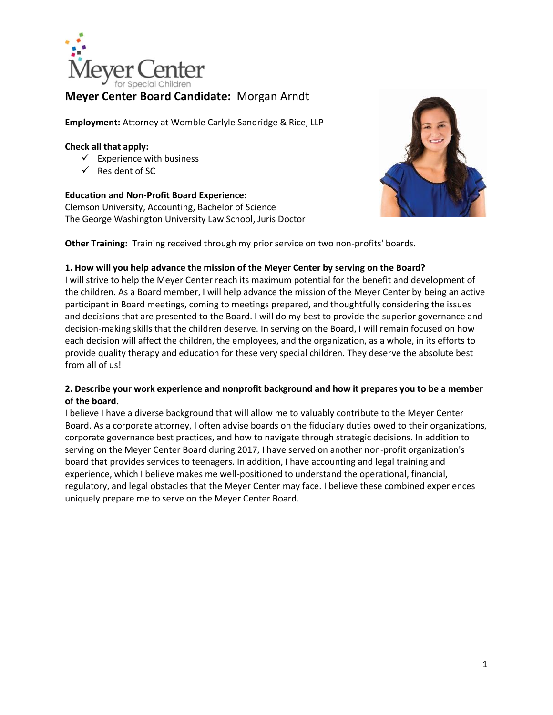

# **Meyer Center Board Candidate:** Morgan Arndt

**Employment:** Attorney at Womble Carlyle Sandridge & Rice, LLP

#### **Check all that apply:**

- $\checkmark$  Experience with business
- $\checkmark$  Resident of SC

### **Education and Non-Profit Board Experience:**

Clemson University, Accounting, Bachelor of Science The George Washington University Law School, Juris Doctor



**Other Training:** Training received through my prior service on two non-profits' boards.

### **1. How will you help advance the mission of the Meyer Center by serving on the Board?**

I will strive to help the Meyer Center reach its maximum potential for the benefit and development of the children. As a Board member, I will help advance the mission of the Meyer Center by being an active participant in Board meetings, coming to meetings prepared, and thoughtfully considering the issues and decisions that are presented to the Board. I will do my best to provide the superior governance and decision-making skills that the children deserve. In serving on the Board, I will remain focused on how each decision will affect the children, the employees, and the organization, as a whole, in its efforts to provide quality therapy and education for these very special children. They deserve the absolute best from all of us!

### **2. Describe your work experience and nonprofit background and how it prepares you to be a member of the board.**

I believe I have a diverse background that will allow me to valuably contribute to the Meyer Center Board. As a corporate attorney, I often advise boards on the fiduciary duties owed to their organizations, corporate governance best practices, and how to navigate through strategic decisions. In addition to serving on the Meyer Center Board during 2017, I have served on another non-profit organization's board that provides services to teenagers. In addition, I have accounting and legal training and experience, which I believe makes me well-positioned to understand the operational, financial, regulatory, and legal obstacles that the Meyer Center may face. I believe these combined experiences uniquely prepare me to serve on the Meyer Center Board.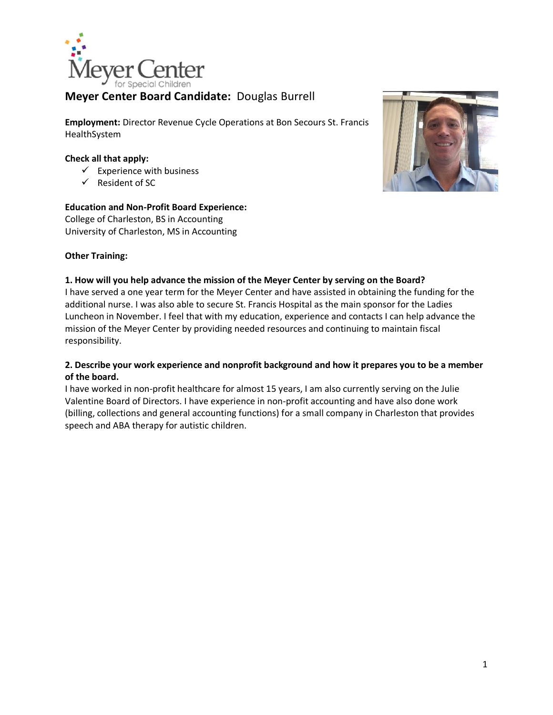

# **Meyer Center Board Candidate:** Douglas Burrell

**Employment:** Director Revenue Cycle Operations at Bon Secours St. Francis HealthSystem

#### **Check all that apply:**

- $\checkmark$  Experience with business
- $\checkmark$  Resident of SC

### **Education and Non-Profit Board Experience:**

College of Charleston, BS in Accounting University of Charleston, MS in Accounting

### **Other Training:**

#### **1. How will you help advance the mission of the Meyer Center by serving on the Board?**

I have served a one year term for the Meyer Center and have assisted in obtaining the funding for the additional nurse. I was also able to secure St. Francis Hospital as the main sponsor for the Ladies Luncheon in November. I feel that with my education, experience and contacts I can help advance the mission of the Meyer Center by providing needed resources and continuing to maintain fiscal responsibility.

#### **2. Describe your work experience and nonprofit background and how it prepares you to be a member of the board.**

I have worked in non-profit healthcare for almost 15 years, I am also currently serving on the Julie Valentine Board of Directors. I have experience in non-profit accounting and have also done work (billing, collections and general accounting functions) for a small company in Charleston that provides speech and ABA therapy for autistic children.

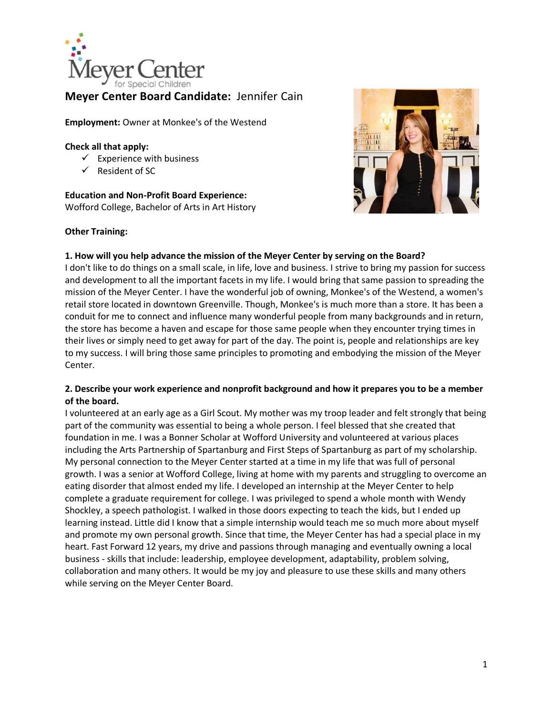

# **Meyer Center Board Candidate:** Jennifer Cain

**Employment:** Owner at Monkee's of the Westend

#### **Check all that apply:**

- $\checkmark$  Experience with business
- $\checkmark$  Resident of SC

**Education and Non-Profit Board Experience:** Wofford College, Bachelor of Arts in Art History





#### **1. How will you help advance the mission of the Meyer Center by serving on the Board?**

I don't like to do things on a small scale, in life, love and business. I strive to bring my passion for success and development to all the important facets in my life. I would bring that same passion to spreading the mission of the Meyer Center. I have the wonderful job of owning, Monkee's of the Westend, a women's retail store located in downtown Greenville. Though, Monkee's is much more than a store. It has been a conduit for me to connect and influence many wonderful people from many backgrounds and in return, the store has become a haven and escape for those same people when they encounter trying times in their lives or simply need to get away for part of the day. The point is, people and relationships are key to my success. I will bring those same principles to promoting and embodying the mission of the Meyer Center.

### **2. Describe your work experience and nonprofit background and how it prepares you to be a member of the board.**

I volunteered at an early age as a Girl Scout. My mother was my troop leader and felt strongly that being part of the community was essential to being a whole person. I feel blessed that she created that foundation in me. I was a Bonner Scholar at Wofford University and volunteered at various places including the Arts Partnership of Spartanburg and First Steps of Spartanburg as part of my scholarship. My personal connection to the Meyer Center started at a time in my life that was full of personal growth. I was a senior at Wofford College, living at home with my parents and struggling to overcome an eating disorder that almost ended my life. I developed an internship at the Meyer Center to help complete a graduate requirement for college. I was privileged to spend a whole month with Wendy Shockley, a speech pathologist. I walked in those doors expecting to teach the kids, but I ended up learning instead. Little did I know that a simple internship would teach me so much more about myself and promote my own personal growth. Since that time, the Meyer Center has had a special place in my heart. Fast Forward 12 years, my drive and passions through managing and eventually owning a local business - skills that include: leadership, employee development, adaptability, problem solving, collaboration and many others. It would be my joy and pleasure to use these skills and many others while serving on the Meyer Center Board.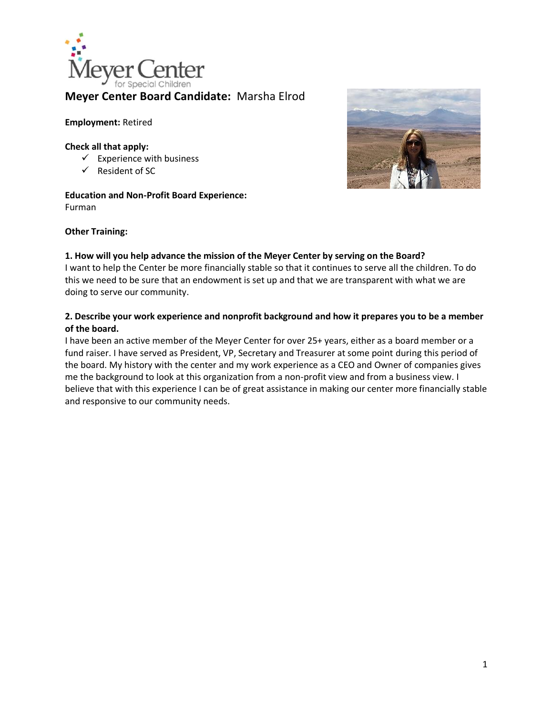

# **Meyer Center Board Candidate:** Marsha Elrod

#### **Employment:** Retired

#### **Check all that apply:**

- $\checkmark$  Experience with business
- $\checkmark$  Resident of SC

# **Education and Non-Profit Board Experience:**

Furman



### **Other Training:**

#### **1. How will you help advance the mission of the Meyer Center by serving on the Board?**

I want to help the Center be more financially stable so that it continues to serve all the children. To do this we need to be sure that an endowment is set up and that we are transparent with what we are doing to serve our community.

### **2. Describe your work experience and nonprofit background and how it prepares you to be a member of the board.**

I have been an active member of the Meyer Center for over 25+ years, either as a board member or a fund raiser. I have served as President, VP, Secretary and Treasurer at some point during this period of the board. My history with the center and my work experience as a CEO and Owner of companies gives me the background to look at this organization from a non-profit view and from a business view. I believe that with this experience I can be of great assistance in making our center more financially stable and responsive to our community needs.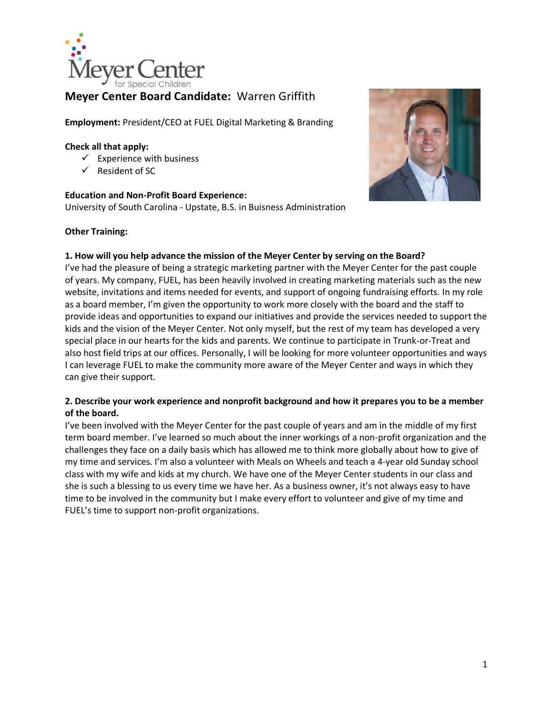

# **Meyer Center Board Candidate:** Warren Griffith

**Employment:** President/CEO at FUEL Digital Marketing & Branding

#### **Check all that apply:**

- $\checkmark$  Experience with business
- $\checkmark$  Resident of SC

### **Education and Non-Profit Board Experience:**

University of South Carolina - Upstate, B.S. in Buisness Administration

### **Other Training:**



### **1. How will you help advance the mission of the Meyer Center by serving on the Board?**

I've had the pleasure of being a strategic marketing partner with the Meyer Center for the past couple of years. My company, FUEL, has been heavily involved in creating marketing materials such as the new website, invitations and items needed for events, and support of ongoing fundraising efforts. In my role as a board member, I'm given the opportunity to work more closely with the board and the staff to provide ideas and opportunities to expand our initiatives and provide the services needed to support the kids and the vision of the Meyer Center. Not only myself, but the rest of my team has developed a very special place in our hearts for the kids and parents. We continue to participate in Trunk-or-Treat and also host field trips at our offices. Personally, I will be looking for more volunteer opportunities and ways I can leverage FUEL to make the community more aware of the Meyer Center and ways in which they can give their support.

### **2. Describe your work experience and nonprofit background and how it prepares you to be a member of the board.**

I've been involved with the Meyer Center for the past couple of years and am in the middle of my first term board member. I've learned so much about the inner workings of a non-profit organization and the challenges they face on a daily basis which has allowed me to think more globally about how to give of my time and services. I'm also a volunteer with Meals on Wheels and teach a 4-year old Sunday school class with my wife and kids at my church. We have one of the Meyer Center students in our class and she is such a blessing to us every time we have her. As a business owner, it's not always easy to have time to be involved in the community but I make every effort to volunteer and give of my time and FUEL's time to support non-profit organizations.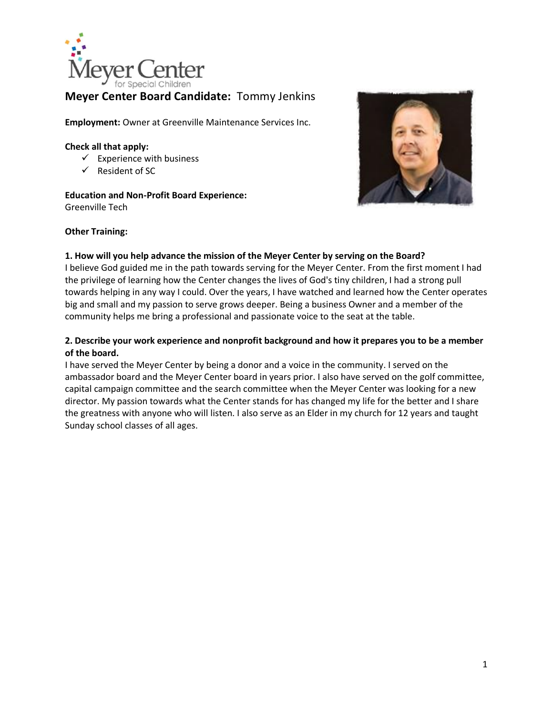

# **Meyer Center Board Candidate:** Tommy Jenkins

**Employment:** Owner at Greenville Maintenance Services Inc.

#### **Check all that apply:**

- $\checkmark$  Experience with business
- $\checkmark$  Resident of SC

**Education and Non-Profit Board Experience:** Greenville Tech



#### **Other Training:**

#### **1. How will you help advance the mission of the Meyer Center by serving on the Board?**

I believe God guided me in the path towards serving for the Meyer Center. From the first moment I had the privilege of learning how the Center changes the lives of God's tiny children, I had a strong pull towards helping in any way I could. Over the years, I have watched and learned how the Center operates big and small and my passion to serve grows deeper. Being a business Owner and a member of the community helps me bring a professional and passionate voice to the seat at the table.

### **2. Describe your work experience and nonprofit background and how it prepares you to be a member of the board.**

I have served the Meyer Center by being a donor and a voice in the community. I served on the ambassador board and the Meyer Center board in years prior. I also have served on the golf committee, capital campaign committee and the search committee when the Meyer Center was looking for a new director. My passion towards what the Center stands for has changed my life for the better and I share the greatness with anyone who will listen. I also serve as an Elder in my church for 12 years and taught Sunday school classes of all ages.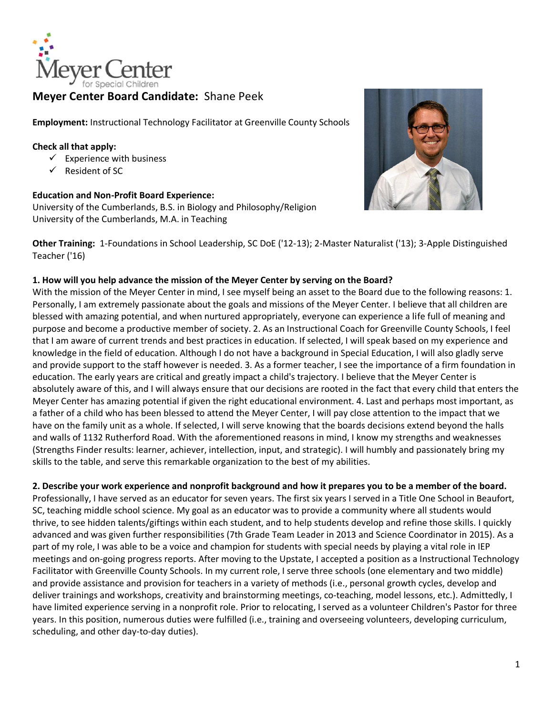

# **Meyer Center Board Candidate:** Shane Peek

**Employment:** Instructional Technology Facilitator at Greenville County Schools

### **Check all that apply:**

- $\checkmark$  Experience with business
- $\checkmark$  Resident of SC

#### **Education and Non-Profit Board Experience:**

University of the Cumberlands, B.S. in Biology and Philosophy/Religion University of the Cumberlands, M.A. in Teaching



**Other Training:** 1-Foundations in School Leadership, SC DoE ('12-13); 2-Master Naturalist ('13); 3-Apple Distinguished Teacher ('16)

### **1. How will you help advance the mission of the Meyer Center by serving on the Board?**

With the mission of the Meyer Center in mind, I see myself being an asset to the Board due to the following reasons: 1. Personally, I am extremely passionate about the goals and missions of the Meyer Center. I believe that all children are blessed with amazing potential, and when nurtured appropriately, everyone can experience a life full of meaning and purpose and become a productive member of society. 2. As an Instructional Coach for Greenville County Schools, I feel that I am aware of current trends and best practices in education. If selected, I will speak based on my experience and knowledge in the field of education. Although I do not have a background in Special Education, I will also gladly serve and provide support to the staff however is needed. 3. As a former teacher, I see the importance of a firm foundation in education. The early years are critical and greatly impact a child's trajectory. I believe that the Meyer Center is absolutely aware of this, and I will always ensure that our decisions are rooted in the fact that every child that enters the Meyer Center has amazing potential if given the right educational environment. 4. Last and perhaps most important, as a father of a child who has been blessed to attend the Meyer Center, I will pay close attention to the impact that we have on the family unit as a whole. If selected, I will serve knowing that the boards decisions extend beyond the halls and walls of 1132 Rutherford Road. With the aforementioned reasons in mind, I know my strengths and weaknesses (Strengths Finder results: learner, achiever, intellection, input, and strategic). I will humbly and passionately bring my skills to the table, and serve this remarkable organization to the best of my abilities.

**2. Describe your work experience and nonprofit background and how it prepares you to be a member of the board.**

Professionally, I have served as an educator for seven years. The first six years I served in a Title One School in Beaufort, SC, teaching middle school science. My goal as an educator was to provide a community where all students would thrive, to see hidden talents/giftings within each student, and to help students develop and refine those skills. I quickly advanced and was given further responsibilities (7th Grade Team Leader in 2013 and Science Coordinator in 2015). As a part of my role, I was able to be a voice and champion for students with special needs by playing a vital role in IEP meetings and on-going progress reports. After moving to the Upstate, I accepted a position as a Instructional Technology Facilitator with Greenville County Schools. In my current role, I serve three schools (one elementary and two middle) and provide assistance and provision for teachers in a variety of methods (i.e., personal growth cycles, develop and deliver trainings and workshops, creativity and brainstorming meetings, co-teaching, model lessons, etc.). Admittedly, I have limited experience serving in a nonprofit role. Prior to relocating, I served as a volunteer Children's Pastor for three years. In this position, numerous duties were fulfilled (i.e., training and overseeing volunteers, developing curriculum, scheduling, and other day-to-day duties).